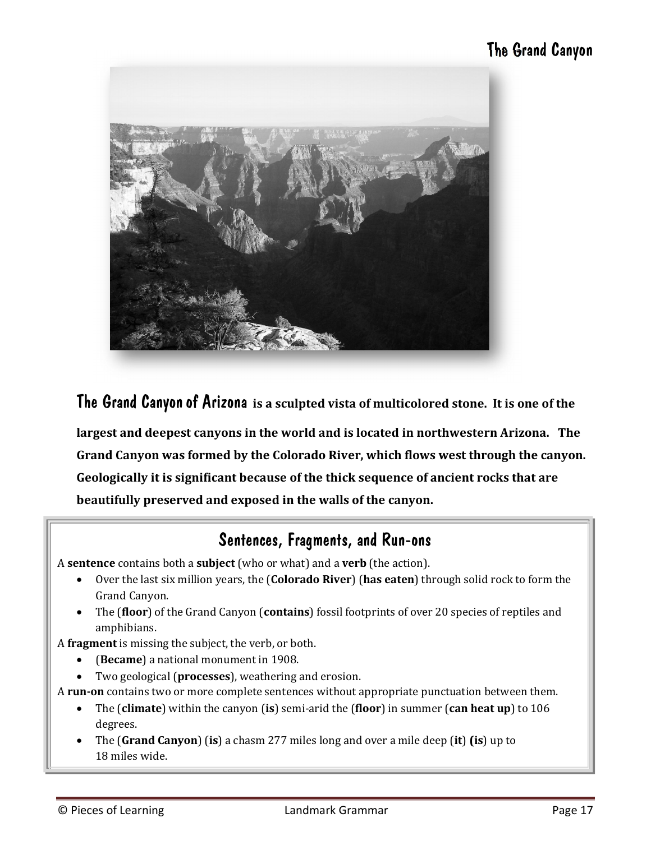## The Grand Canyon



The Grand Canyonof Arizona **is a sculpted vista of multicolored stone. It is one of the** 

**largest and deepest canyons in the world and is located in northwestern Arizona. The Grand Canyon was formed by the Colorado River, which flows west through the canyon. Geologically it is significant because of the thick sequence of ancient rocks that are beautifully preserved and exposed in the walls of the canyon.**

### Sentences, Fragments, and Run-ons

A **sentence** contains both a **subject** (who or what) and a **verb** (the action).

- · Over the last six million years, the (**Colorado River**) (**has eaten**) through solid rock to form the Grand Canyon.
- · The (**floor**) of the Grand Canyon (**contains**) fossil footprints of over 20 species of reptiles and amphibians.

A **fragment** is missing the subject, the verb, or both.

- · (**Became**) a national monument in 1908.
- · Two geological (**processes**), weathering and erosion.

A **run-on** contains two or more complete sentences without appropriate punctuation between them.

- · The (**climate**) within the canyon (**is**) semi-arid the (**floor**) in summer (**can heat up**) to 106 degrees.
- · The (**Grand Canyon**) (**is**) a chasm 277 miles long and over a mile deep (**it**) **(is**) up to 18 miles wide.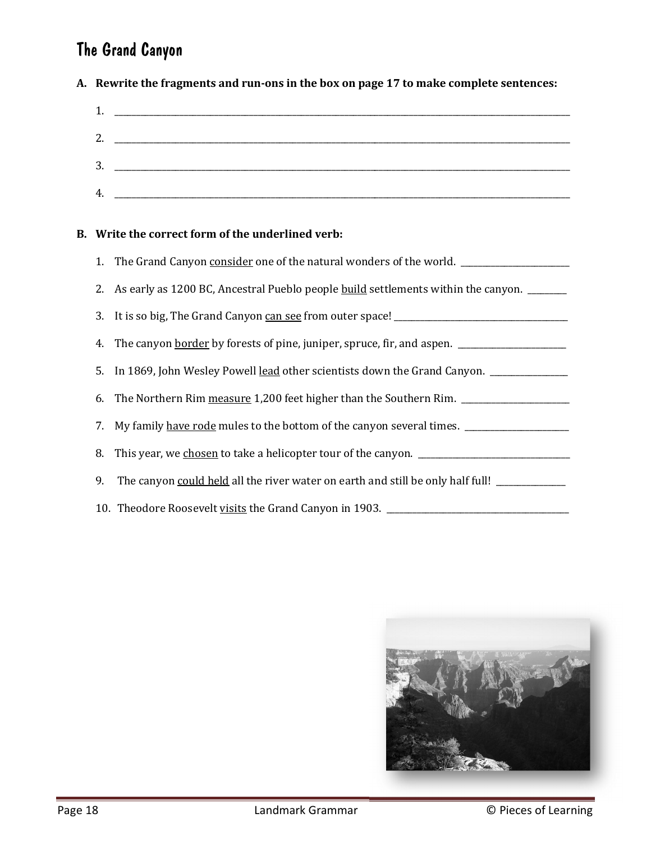# The Grand Canyon

**A. Rewrite the fragments and run-ons in the box on page 17 to make complete sentences:**

| 1. |                                                                                           |
|----|-------------------------------------------------------------------------------------------|
| 2. | the control of the control of the control of the control of the control of the control of |
| 3. |                                                                                           |
| 4. |                                                                                           |

### **B. Write the correct form of the underlined verb:**

| 2. As early as 1200 BC, Ancestral Pueblo people build settlements within the canyon. ______          |
|------------------------------------------------------------------------------------------------------|
|                                                                                                      |
| 4. The canyon border by forests of pine, juniper, spruce, fir, and aspen. __________________________ |
| 5. In 1869, John Wesley Powell lead other scientists down the Grand Canyon. ___________              |
| 6. The Northern Rim measure 1,200 feet higher than the Southern Rim. __________________              |
| 7. My family have rode mules to the bottom of the canyon several times. ________________             |
|                                                                                                      |
| 9. The canyon could held all the river water on earth and still be only half full!                   |
| 10. Theodore Roosevelt visits the Grand Canyon in 1903. ________________________                     |